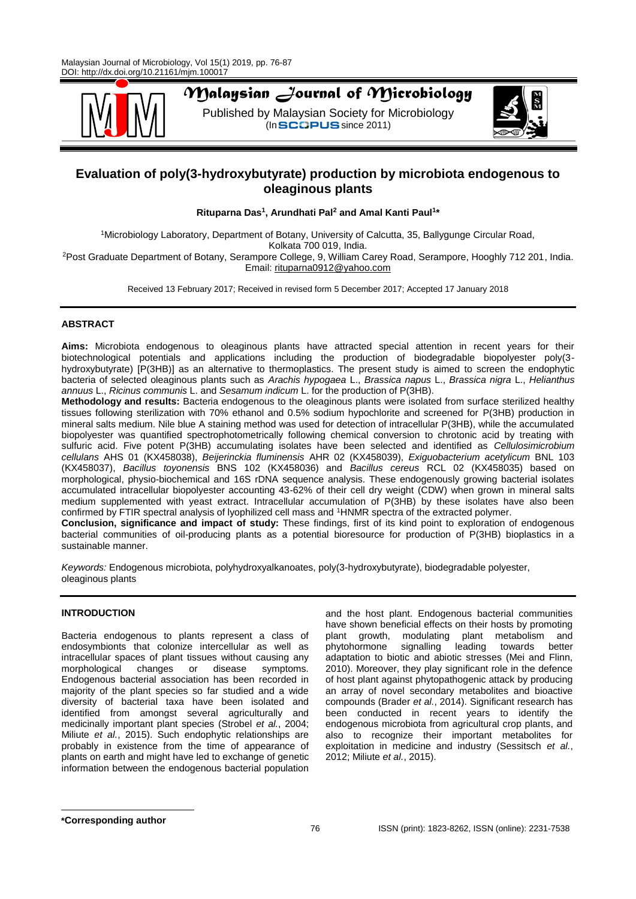

# *Malaysian Journal of Microbiology*

Published by Malaysian Society for Microbiology  $($ In SCOPUS since 2011)



# **Evaluation of poly(3-hydroxybutyrate) production by microbiota endogenous to oleaginous plants**

**Rituparna Das<sup>1</sup> , Arundhati Pal<sup>2</sup> and Amal Kanti Paul<sup>1</sup> \***

<sup>1</sup>Microbiology Laboratory, Department of Botany, University of Calcutta, 35, Ballygunge Circular Road, Kolkata 700 019, India. <sup>2</sup>Post Graduate Department of Botany, Serampore College, 9, William Carey Road, Serampore, Hooghly 712 201, India. Email: [rituparna0912@yahoo.com](mailto:rituparna0912@yahoo.com)

Received 13 February 2017; Received in revised form 5 December 2017; Accepted 17 January 2018

# **ABSTRACT**

**Aims:** Microbiota endogenous to oleaginous plants have attracted special attention in recent years for their biotechnological potentials and applications including the production of biodegradable biopolyester poly(3 hydroxybutyrate) [P(3HB)] as an alternative to thermoplastics. The present study is aimed to screen the endophytic bacteria of selected oleaginous plants such as *Arachis hypogaea* L., *Brassica napus* L., *Brassica nigra* L., *Helianthus annuus* L., *Ricinus communis* L. and *Sesamum indicum* L. for the production of P(3HB).

**Methodology and results:** Bacteria endogenous to the oleaginous plants were isolated from surface sterilized healthy tissues following sterilization with 70% ethanol and 0.5% sodium hypochlorite and screened for P(3HB) production in mineral salts medium. Nile blue A staining method was used for detection of intracellular P(3HB), while the accumulated biopolyester was quantified spectrophotometrically following chemical conversion to chrotonic acid by treating with sulfuric acid. Five potent P(3HB) accumulating isolates have been selected and identified as *Cellulosimicrobium cellulans* AHS 01 (KX458038), *Beijerinckia fluminensis* AHR 02 (KX458039), *Exiguobacterium acetylicum* BNL 103 (KX458037), *Bacillus toyonensis* BNS 102 (KX458036) and *Bacillus cereus* RCL 02 (KX458035) based on morphological, physio-biochemical and 16S rDNA sequence analysis. These endogenously growing bacterial isolates accumulated intracellular biopolyester accounting 43-62% of their cell dry weight (CDW) when grown in mineral salts medium supplemented with yeast extract. Intracellular accumulation of P(3HB) by these isolates have also been confirmed by FTIR spectral analysis of lyophilized cell mass and <sup>1</sup>HNMR spectra of the extracted polymer.

**Conclusion, significance and impact of study:** These findings, first of its kind point to exploration of endogenous bacterial communities of oil-producing plants as a potential bioresource for production of P(3HB) bioplastics in a sustainable manner.

*Keywords:* Endogenous microbiota, polyhydroxyalkanoates, poly(3-hydroxybutyrate), biodegradable polyester, oleaginous plants

# **INTRODUCTION**

Bacteria endogenous to plants represent a class of endosymbionts that colonize intercellular as well as intracellular spaces of plant tissues without causing any morphological changes or disease symptoms. Endogenous bacterial association has been recorded in majority of the plant species so far studied and a wide diversity of bacterial taxa have been isolated and identified from amongst several agriculturally and medicinally important plant species (Strobel *et al.*, 2004; Miliute *et al.*, 2015). Such endophytic relationships are probably in existence from the time of appearance of plants on earth and might have led to exchange of genetic information between the endogenous bacterial population

and the host plant. Endogenous bacterial communities have shown beneficial effects on their hosts by promoting plant growth, modulating plant metabolism and<br>phytohormone signalling leading towards better phytohormone signalling leading towards better adaptation to biotic and abiotic stresses (Mei and Flinn, 2010). Moreover, they play significant role in the defence of host plant against phytopathogenic attack by producing an array of novel secondary metabolites and bioactive compounds (Brader *et al.*, 2014). Significant research has been conducted in recent years to identify the endogenous microbiota from agricultural crop plants, and also to recognize their important metabolites for exploitation in medicine and industry (Sessitsch *et al.*, 2012; Miliute *et al.*, 2015).

**\*Corresponding author**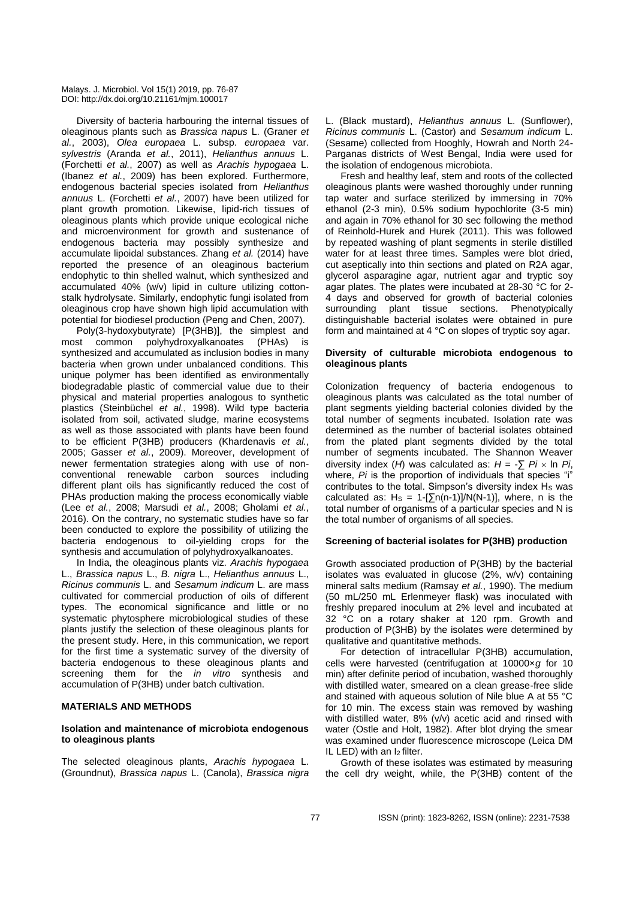Diversity of bacteria harbouring the internal tissues of oleaginous plants such as *Brassica napus* L. (Graner *et al.*, 2003), *Olea europaea* L. subsp. *europaea* var. *sylvestris* (Aranda *et al.*, 2011), *Helianthus annuus* L. (Forchetti *et al.*, 2007) as well as *Arachis hypogaea* L. (Ibanez *et al.*, 2009) has been explored. Furthermore, endogenous bacterial species isolated from *Helianthus annuus* L. (Forchetti *et al.*, 2007) have been utilized for plant growth promotion. Likewise, lipid-rich tissues of oleaginous plants which provide unique ecological niche and microenvironment for growth and sustenance of endogenous bacteria may possibly synthesize and accumulate lipoidal substances. Zhang *et al.* (2014) have reported the presence of an oleaginous bacterium endophytic to thin shelled walnut, which synthesized and accumulated 40% (w/v) lipid in culture utilizing cottonstalk hydrolysate. Similarly, endophytic fungi isolated from oleaginous crop have shown high lipid accumulation with potential for biodiesel production (Peng and Chen, 2007).

Poly(3-hydoxybutyrate) [P(3HB)], the simplest and most common polyhydroxyalkanoates (PHAs) is synthesized and accumulated as inclusion bodies in many bacteria when grown under unbalanced conditions. This unique polymer has been identified as environmentally biodegradable plastic of commercial value due to their physical and material properties analogous to synthetic plastics (Steinbüchel *et al.*, 1998). Wild type bacteria isolated from soil, activated sludge, marine ecosystems as well as those associated with plants have been found to be efficient P(3HB) producers (Khardenavis *et al.*, 2005; Gasser *et al.*, 2009). Moreover, development of newer fermentation strategies along with use of nonconventional renewable carbon sources including different plant oils has significantly reduced the cost of PHAs production making the process economically viable (Lee *et al.*, 2008; Marsudi *et al.*, 2008; Gholami *et al.*, 2016). On the contrary, no systematic studies have so far been conducted to explore the possibility of utilizing the bacteria endogenous to oil-yielding crops for the synthesis and accumulation of polyhydroxyalkanoates.

In India, the oleaginous plants viz. *Arachis hypogaea*  L., *Brassica napus* L., *B. nigra* L., *Helianthus annuus* L., *Ricinus communis* L. and *Sesamum indicum* L. are mass cultivated for commercial production of oils of different types. The economical significance and little or no systematic phytosphere microbiological studies of these plants justify the selection of these oleaginous plants for the present study. Here, in this communication, we report for the first time a systematic survey of the diversity of bacteria endogenous to these oleaginous plants and screening them for the *in vitro* synthesis and accumulation of P(3HB) under batch cultivation.

#### **MATERIALS AND METHODS**

#### **Isolation and maintenance of microbiota endogenous to oleaginous plants**

The selected oleaginous plants, *Arachis hypogaea* L. (Groundnut), *Brassica napus* L. (Canola), *Brassica nigra*  L. (Black mustard), *Helianthus annuus* L. (Sunflower), *Ricinus communis* L. (Castor) and *Sesamum indicum* L. (Sesame) collected from Hooghly, Howrah and North 24- Parganas districts of West Bengal, India were used for the isolation of endogenous microbiota.

Fresh and healthy leaf, stem and roots of the collected oleaginous plants were washed thoroughly under running tap water and surface sterilized by immersing in 70% ethanol (2-3 min), 0.5% sodium hypochlorite (3-5 min) and again in 70% ethanol for 30 sec following the method of Reinhold-Hurek and Hurek (2011). This was followed by repeated washing of plant segments in sterile distilled water for at least three times. Samples were blot dried, cut aseptically into thin sections and plated on R2A agar, glycerol asparagine agar, nutrient agar and tryptic soy agar plates. The plates were incubated at 28-30 °C for 2- 4 days and observed for growth of bacterial colonies surrounding plant tissue sections. Phenotypically distinguishable bacterial isolates were obtained in pure form and maintained at 4 °C on slopes of tryptic soy agar.

#### **Diversity of culturable microbiota endogenous to oleaginous plants**

Colonization frequency of bacteria endogenous to oleaginous plants was calculated as the total number of plant segments yielding bacterial colonies divided by the total number of segments incubated. Isolation rate was determined as the number of bacterial isolates obtained from the plated plant segments divided by the total number of segments incubated. The Shannon Weaver diversity index (*H*) was calculated as:  $H = -\sum P_i \times \ln P_i$ , where, *Pi* is the proportion of individuals that species "i" contributes to the total. Simpson's diversity index H<sub>S</sub> was calculated as:  $H_s = 1 - \frac{\sum n(n-1)}{N(N-1)}$ , where, n is the total number of organisms of a particular species and N is the total number of organisms of all species.

#### **Screening of bacterial isolates for P(3HB) production**

Growth associated production of P(3HB) by the bacterial isolates was evaluated in glucose (2%, w/v) containing mineral salts medium (Ramsay *et al.*, 1990). The medium (50 mL/250 mL Erlenmeyer flask) was inoculated with freshly prepared inoculum at 2% level and incubated at 32 °C on a rotary shaker at 120 rpm. Growth and production of P(3HB) by the isolates were determined by qualitative and quantitative methods.

For detection of intracellular P(3HB) accumulation, cells were harvested (centrifugation at 10000×*g* for 10 min) after definite period of incubation, washed thoroughly with distilled water, smeared on a clean grease-free slide and stained with aqueous solution of Nile blue A at 55 °C for 10 min. The excess stain was removed by washing with distilled water, 8% (v/v) acetic acid and rinsed with water (Ostle and Holt, 1982). After blot drying the smear was examined under fluorescence microscope (Leica DM IL LED) with an I<sub>2</sub> filter.

Growth of these isolates was estimated by measuring the cell dry weight, while, the P(3HB) content of the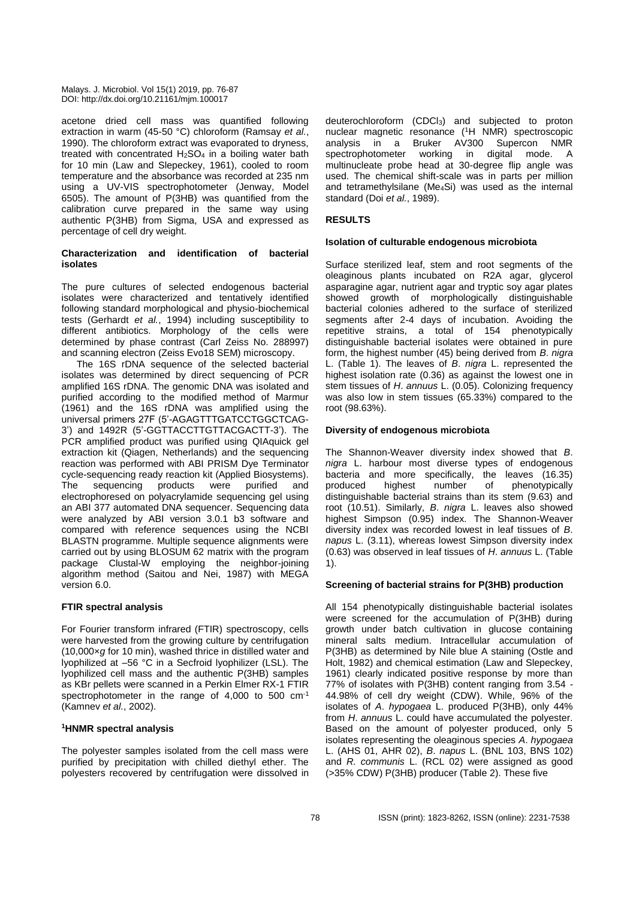acetone dried cell mass was quantified following extraction in warm (45-50 °C) chloroform (Ramsay *et al.*, 1990). The chloroform extract was evaporated to dryness, treated with concentrated  $H_2SO_4$  in a boiling water bath for 10 min (Law and Slepeckey, 1961), cooled to room temperature and the absorbance was recorded at 235 nm using a UV-VIS spectrophotometer (Jenway, Model 6505). The amount of P(3HB) was quantified from the calibration curve prepared in the same way using authentic P(3HB) from Sigma, USA and expressed as percentage of cell dry weight.

#### **Characterization and identification of bacterial isolates**

The pure cultures of selected endogenous bacterial isolates were characterized and tentatively identified following standard morphological and physio-biochemical tests (Gerhardt *et al.*, 1994) including susceptibility to different antibiotics. Morphology of the cells were determined by phase contrast (Carl Zeiss No. 288997) and scanning electron (Zeiss Evo18 SEM) microscopy.

The 16S rDNA sequence of the selected bacterial isolates was determined by direct sequencing of PCR amplified 16S rDNA. The genomic DNA was isolated and purified according to the modified method of Marmur (1961) and the 16S rDNA was amplified using the universal primers 27F (5'-AGAGTTTGATCCTGGCTCAG-3') and 1492R (5'-GGTTACCTTGTTACGACTT-3'). The PCR amplified product was purified using QIAquick gel extraction kit (Qiagen, Netherlands) and the sequencing reaction was performed with ABI PRISM Dye Terminator cycle-sequencing ready reaction kit (Applied Biosystems).<br>The sequencing products were purified and The sequencing products were purified and electrophoresed on polyacrylamide sequencing gel using an ABI 377 automated DNA sequencer. Sequencing data were analyzed by ABI version 3.0.1 b3 software and compared with reference sequences using the NCBI BLASTN programme. Multiple sequence alignments were carried out by using BLOSUM 62 matrix with the program package Clustal-W employing the neighbor-joining algorithm method (Saitou and Nei, 1987) with MEGA version 6.0.

# **FTIR spectral analysis**

For Fourier transform infrared (FTIR) spectroscopy, cells were harvested from the growing culture by centrifugation (10,000×*g* for 10 min), washed thrice in distilled water and lyophilized at –56 °C in a Secfroid lyophilizer (LSL). The lyophilized cell mass and the authentic P(3HB) samples as KBr pellets were scanned in a Perkin Elmer RX-1 FTIR spectrophotometer in the range of 4,000 to 500 cm<sup>-1</sup> (Kamnev *et al.*, 2002).

# **<sup>1</sup>HNMR spectral analysis**

The polyester samples isolated from the cell mass were purified by precipitation with chilled diethyl ether. The polyesters recovered by centrifugation were dissolved in deuterochloroform (CDCl3) and subjected to proton nuclear magnetic resonance (<sup>1</sup>H NMR) spectroscopic analysis in a Bruker AV300 Supercon NMR spectrophotometer working in digital mode. A multinucleate probe head at 30-degree flip angle was used. The chemical shift-scale was in parts per million and tetramethylsilane (Me4Si) was used as the internal standard (Doi *et al.*, 1989).

# **RESULTS**

# **Isolation of culturable endogenous microbiota**

Surface sterilized leaf, stem and root segments of the oleaginous plants incubated on R2A agar, glycerol asparagine agar, nutrient agar and tryptic soy agar plates showed growth of morphologically distinguishable bacterial colonies adhered to the surface of sterilized segments after 2-4 days of incubation. Avoiding the repetitive strains, a total of 154 phenotypically distinguishable bacterial isolates were obtained in pure form, the highest number (45) being derived from *B*. *nigra*  L. (Table 1). The leaves of *B*. *nigra* L. represented the highest isolation rate (0.36) as against the lowest one in stem tissues of *H*. *annuus* L. (0.05). Colonizing frequency was also low in stem tissues (65.33%) compared to the root (98.63%).

# **Diversity of endogenous microbiota**

The Shannon-Weaver diversity index showed that *B*. *nigra* L. harbour most diverse types of endogenous bacteria and more specifically, the leaves (16.35) produced highest number of phenotypically distinguishable bacterial strains than its stem (9.63) and root (10.51). Similarly, *B*. *nigra* L. leaves also showed highest Simpson (0.95) index. The Shannon-Weaver diversity index was recorded lowest in leaf tissues of *B*. *napus* L. (3.11), whereas lowest Simpson diversity index (0.63) was observed in leaf tissues of *H*. *annuus* L. (Table 1).

# **Screening of bacterial strains for P(3HB) production**

All 154 phenotypically distinguishable bacterial isolates were screened for the accumulation of P(3HB) during growth under batch cultivation in glucose containing mineral salts medium. Intracellular accumulation of P(3HB) as determined by Nile blue A staining (Ostle and Holt, 1982) and chemical estimation (Law and Slepeckey, 1961) clearly indicated positive response by more than 77% of isolates with P(3HB) content ranging from 3.54 - 44.98% of cell dry weight (CDW). While, 96% of the isolates of *A*. *hypogaea* L. produced P(3HB), only 44% from *H*. *annuus* L. could have accumulated the polyester. Based on the amount of polyester produced, only 5 isolates representing the oleaginous species *A*. *hypogaea*  L. (AHS 01, AHR 02), *B*. *napus* L. (BNL 103, BNS 102) and *R. communis* L. (RCL 02) were assigned as good (>35% CDW) P(3HB) producer (Table 2). These five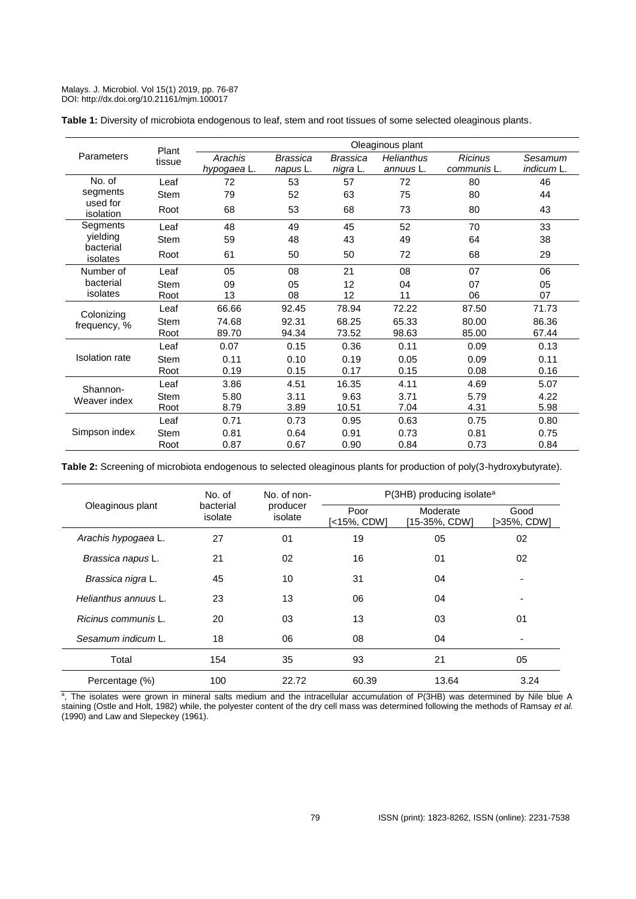|  |  | Table 1: Diversity of microbiota endogenous to leaf, stem and root tissues of some selected oleaginous plants. |  |
|--|--|----------------------------------------------------------------------------------------------------------------|--|
|  |  |                                                                                                                |  |

|                       | Plant<br>tissue | Oleaginous plant       |                      |                      |                         |                               |                       |  |
|-----------------------|-----------------|------------------------|----------------------|----------------------|-------------------------|-------------------------------|-----------------------|--|
| <b>Parameters</b>     |                 | Arachis<br>hypogaea L. | Brassica<br>napus L. | Brassica<br>nigra L. | Helianthus<br>annuus L. | <b>Ricinus</b><br>communis L. | Sesamum<br>indicum L. |  |
| No. of                | Leaf            | 72                     | 53                   | 57                   | 72                      | 80                            | 46                    |  |
| segments              | Stem            | 79                     | 52                   | 63                   | 75                      | 80                            | 44                    |  |
| used for<br>isolation | Root            | 68                     | 53                   | 68                   | 73                      | 80                            | 43                    |  |
| Segments              | Leaf            | 48                     | 49                   | 45                   | 52                      | 70                            | 33                    |  |
| yielding              | Stem            | 59                     | 48                   | 43                   | 49                      | 64                            | 38                    |  |
| bacterial<br>isolates | Root            | 61                     | 50                   | 50                   | 72                      | 68                            | 29                    |  |
| Number of             | Leaf            | 05                     | 08                   | 21                   | 08                      | 07                            | 06                    |  |
| bacterial<br>isolates | Stem            | 09                     | 05                   | 12                   | 04                      | 07                            | 05                    |  |
|                       | Root            | 13                     | 08                   | 12                   | 11                      | 06                            | 07                    |  |
| Colonizing            | Leaf            | 66.66                  | 92.45                | 78.94                | 72.22                   | 87.50                         | 71.73                 |  |
| frequency, %          | Stem            | 74.68                  | 92.31                | 68.25                | 65.33                   | 80.00                         | 86.36                 |  |
|                       | Root            | 89.70                  | 94.34                | 73.52                | 98.63                   | 85.00                         | 67.44                 |  |
|                       | Leaf            | 0.07                   | 0.15                 | 0.36                 | 0.11                    | 0.09                          | 0.13                  |  |
| <b>Isolation</b> rate | <b>Stem</b>     | 0.11                   | 0.10                 | 0.19                 | 0.05                    | 0.09                          | 0.11                  |  |
|                       | Root            | 0.19                   | 0.15                 | 0.17                 | 0.15                    | 0.08                          | 0.16                  |  |
| Shannon-              | Leaf            | 3.86                   | 4.51                 | 16.35                | 4.11                    | 4.69                          | 5.07                  |  |
| Weaver index          | <b>Stem</b>     | 5.80                   | 3.11                 | 9.63                 | 3.71                    | 5.79                          | 4.22                  |  |
|                       | Root            | 8.79                   | 3.89                 | 10.51                | 7.04                    | 4.31                          | 5.98                  |  |
|                       | Leaf            | 0.71                   | 0.73                 | 0.95                 | 0.63                    | 0.75                          | 0.80                  |  |
| Simpson index         | <b>Stem</b>     | 0.81                   | 0.64                 | 0.91                 | 0.73                    | 0.81                          | 0.75                  |  |
|                       | Root            | 0.87                   | 0.67                 | 0.90                 | 0.84                    | 0.73                          | 0.84                  |  |

**Table 2:** Screening of microbiota endogenous to selected oleaginous plants for production of poly(3-hydroxybutyrate).

|                      | No. of               | No. of non-         | $P(3HB)$ producing isolate <sup>a</sup> |                           |                     |  |
|----------------------|----------------------|---------------------|-----------------------------------------|---------------------------|---------------------|--|
| Oleaginous plant     | bacterial<br>isolate | producer<br>isolate | Poor<br>[<15%, CDW]                     | Moderate<br>[15-35%, CDW] | Good<br>[>35%, CDW] |  |
| Arachis hypogaea L.  | 27                   | 01                  | 19                                      | 05                        | 02                  |  |
| Brassica napus L.    | 21                   | 02                  | 16                                      | 01                        | 02                  |  |
| Brassica nigra L.    | 45                   | 10                  | 31                                      | 04                        |                     |  |
| Helianthus annuus L. | 23                   | 13                  | 06                                      | 04                        |                     |  |
| Ricinus communis L.  | 20                   | 03                  | 13                                      | 03                        | 01                  |  |
| Sesamum indicum L.   | 18                   | 06                  | 08                                      | 04                        |                     |  |
| Total                | 154                  | 35                  | 93                                      | 21                        | 05                  |  |
| Percentage (%)       | 100                  | 22.72               | 60.39                                   | 13.64                     | 3.24                |  |

<sup>a</sup>, The isolates were grown in mineral salts medium and the intracellular accumulation of P(3HB) was determined by Nile blue A staining (Ostle and Holt, 1982) while, the polyester content of the dry cell mass was determined following the methods of Ramsay *et al.* (1990) and Law and Slepeckey (1961).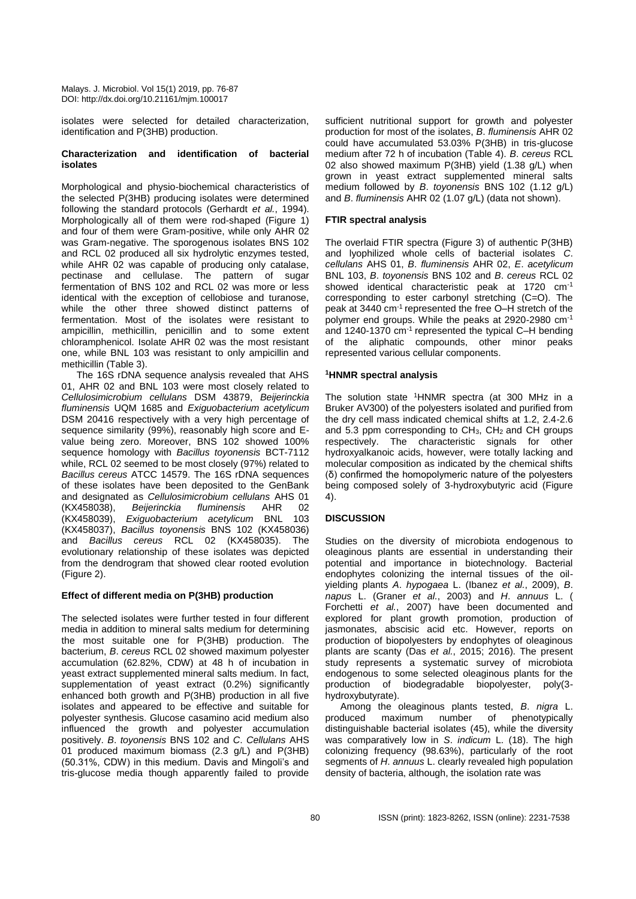isolates were selected for detailed characterization, identification and P(3HB) production.

#### **Characterization and identification of bacterial isolates**

Morphological and physio-biochemical characteristics of the selected P(3HB) producing isolates were determined following the standard protocols (Gerhardt *et al.*, 1994). Morphologically all of them were rod-shaped (Figure 1) and four of them were Gram-positive, while only AHR 02 was Gram-negative. The sporogenous isolates BNS 102 and RCL 02 produced all six hydrolytic enzymes tested, while AHR 02 was capable of producing only catalase, pectinase and cellulase. The pattern of sugar fermentation of BNS 102 and RCL 02 was more or less identical with the exception of cellobiose and turanose, while the other three showed distinct patterns of fermentation. Most of the isolates were resistant to ampicillin, methicillin, penicillin and to some extent chloramphenicol. Isolate AHR 02 was the most resistant one, while BNL 103 was resistant to only ampicillin and methicillin (Table 3).

The 16S rDNA sequence analysis revealed that AHS 01, AHR 02 and BNL 103 were most closely related to *Cellulosimicrobium cellulans* DSM 43879, *Beijerinckia fluminensis* UQM 1685 and *Exiguobacterium acetylicum* DSM 20416 respectively with a very high percentage of sequence similarity (99%), reasonably high score and Evalue being zero. Moreover, BNS 102 showed 100% sequence homology with *Bacillus toyonensis* BCT-7112 while, RCL 02 seemed to be most closely (97%) related to *Bacillus cereus* ATCC 14579. The 16S rDNA sequences of these isolates have been deposited to the GenBank and designated as *Cellulosimicrobium cellulans* AHS 01 (KX458038), *Beijerinckia fluminensis* AHR 02 (KX458039), *Exiguobacterium acetylicum* BNL 103 (KX458037), *Bacillus toyonensis* BNS 102 (KX458036) and *Bacillus cereus* RCL 02 (KX458035). The evolutionary relationship of these isolates was depicted from the dendrogram that showed clear rooted evolution (Figure 2).

# **Effect of different media on P(3HB) production**

The selected isolates were further tested in four different media in addition to mineral salts medium for determining the most suitable one for P(3HB) production. The bacterium, *B*. *cereus* RCL 02 showed maximum polyester accumulation (62.82%, CDW) at 48 h of incubation in yeast extract supplemented mineral salts medium. In fact, supplementation of yeast extract (0.2%) significantly enhanced both growth and P(3HB) production in all five isolates and appeared to be effective and suitable for polyester synthesis. Glucose casamino acid medium also influenced the growth and polyester accumulation positively. *B*. *toyonensis* BNS 102 and *C*. *Cellulans* AHS 01 produced maximum biomass (2.3 g/L) and P(3HB) (50.31%, CDW) in this medium. Davis and Mingoli's and tris-glucose media though apparently failed to provide

sufficient nutritional support for growth and polyester production for most of the isolates, *B*. *fluminensis* AHR 02 could have accumulated 53.03% P(3HB) in tris-glucose medium after 72 h of incubation (Table 4). *B*. *cereus* RCL 02 also showed maximum P(3HB) yield (1.38 g/L) when grown in yeast extract supplemented mineral salts medium followed by *B*. *toyonensis* BNS 102 (1.12 g/L) and *B*. *fluminensis* AHR 02 (1.07 g/L) (data not shown).

# **FTIR spectral analysis**

The overlaid FTIR spectra (Figure 3) of authentic P(3HB) and lyophilized whole cells of bacterial isolates *C*. *cellulans* AHS 01, *B*. *fluminensis* AHR 02, *E*. *acetylicum*  BNL 103, *B*. *toyonensis* BNS 102 and *B*. *cereus* RCL 02 showed identical characteristic peak at 1720 cm-1 corresponding to ester carbonyl stretching (C=O). The peak at 3440 cm-1 represented the free O–H stretch of the polymer end groups. While the peaks at 2920-2980 cm-1 and 1240-1370 cm<sup>-1</sup> represented the typical C-H bending of the aliphatic compounds, other minor peaks represented various cellular components.

# **<sup>1</sup>HNMR spectral analysis**

The solution state <sup>1</sup>HNMR spectra (at 300 MHz in a Bruker AV300) of the polyesters isolated and purified from the dry cell mass indicated chemical shifts at 1.2, 2.4-2.6 and 5.3 ppm corresponding to  $CH<sub>3</sub>$ ,  $CH<sub>2</sub>$  and CH groups respectively. The characteristic signals for other hydroxyalkanoic acids, however, were totally lacking and molecular composition as indicated by the chemical shifts (δ) confirmed the homopolymeric nature of the polyesters being composed solely of 3-hydroxybutyric acid (Figure 4).

# **DISCUSSION**

Studies on the diversity of microbiota endogenous to oleaginous plants are essential in understanding their potential and importance in biotechnology. Bacterial endophytes colonizing the internal tissues of the oilyielding plants *A*. *hypogaea* L. (Ibanez *et al.*, 2009), *B*. *napus* L. (Graner *et al.*, 2003) and *H*. *annuus* L. ( Forchetti *et al.*, 2007) have been documented and explored for plant growth promotion, production of jasmonates, abscisic acid etc. However, reports on production of biopolyesters by endophytes of oleaginous plants are scanty (Das *et al.*, 2015; 2016). The present study represents a systematic survey of microbiota endogenous to some selected oleaginous plants for the production of biodegradable biopolyester, poly(3 hydroxybutyrate).

Among the oleaginous plants tested, *B*. *nigra* L. produced maximum number of phenotypically distinguishable bacterial isolates (45), while the diversity was comparatively low in *S*. *indicum* L. (18). The high colonizing frequency (98.63%), particularly of the root segments of *H*. *annuus* L. clearly revealed high population density of bacteria, although, the isolation rate was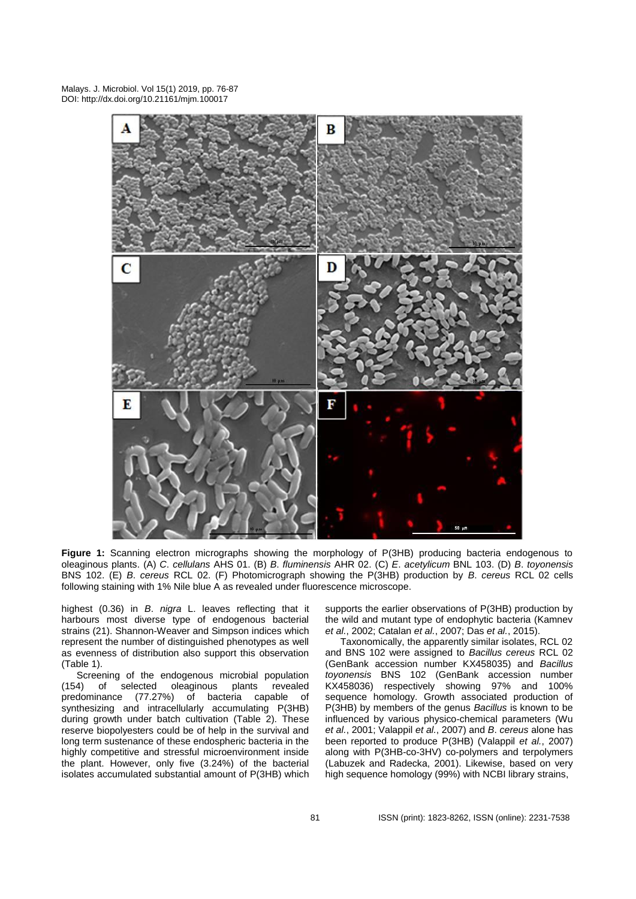

**Figure 1:** Scanning electron micrographs showing the morphology of P(3HB) producing bacteria endogenous to oleaginous plants. (A) *C*. *cellulans* AHS 01. (B) *B*. *fluminensis* AHR 02. (C) *E*. *acetylicum* BNL 103. (D) *B*. *toyonensis*  BNS 102. (E) *B*. *cereus* RCL 02. (F) Photomicrograph showing the P(3HB) production by *B*. *cereus* RCL 02 cells following staining with 1% Nile blue A as revealed under fluorescence microscope.

highest (0.36) in *B*. *nigra* L. leaves reflecting that it harbours most diverse type of endogenous bacterial strains (21). Shannon-Weaver and Simpson indices which represent the number of distinguished phenotypes as well as evenness of distribution also support this observation (Table 1).

Screening of the endogenous microbial population (154) of selected oleaginous plants revealed predominance (77.27%) of bacteria capable of synthesizing and intracellularly accumulating P(3HB) during growth under batch cultivation (Table 2). These reserve biopolyesters could be of help in the survival and long term sustenance of these endospheric bacteria in the highly competitive and stressful microenvironment inside the plant. However, only five (3.24%) of the bacterial isolates accumulated substantial amount of P(3HB) which supports the earlier observations of P(3HB) production by the wild and mutant type of endophytic bacteria (Kamnev *et al.*, 2002; Catalan *et al.*, 2007; Das *et al.*, 2015).

Taxonomically, the apparently similar isolates, RCL 02 and BNS 102 were assigned to *Bacillus cereus* RCL 02 (GenBank accession number KX458035) and *Bacillus toyonensis* BNS 102 (GenBank accession number KX458036) respectively showing 97% and 100% sequence homology. Growth associated production of P(3HB) by members of the genus *Bacillus* is known to be influenced by various physico-chemical parameters (Wu *et al.*, 2001; Valappil *et al.*, 2007) and *B*. *cereus* alone has been reported to produce P(3HB) (Valappil *et al.*, 2007) along with P(3HB-co-3HV) co-polymers and terpolymers (Labuzek and Radecka, 2001). Likewise, based on very high sequence homology (99%) with NCBI library strains,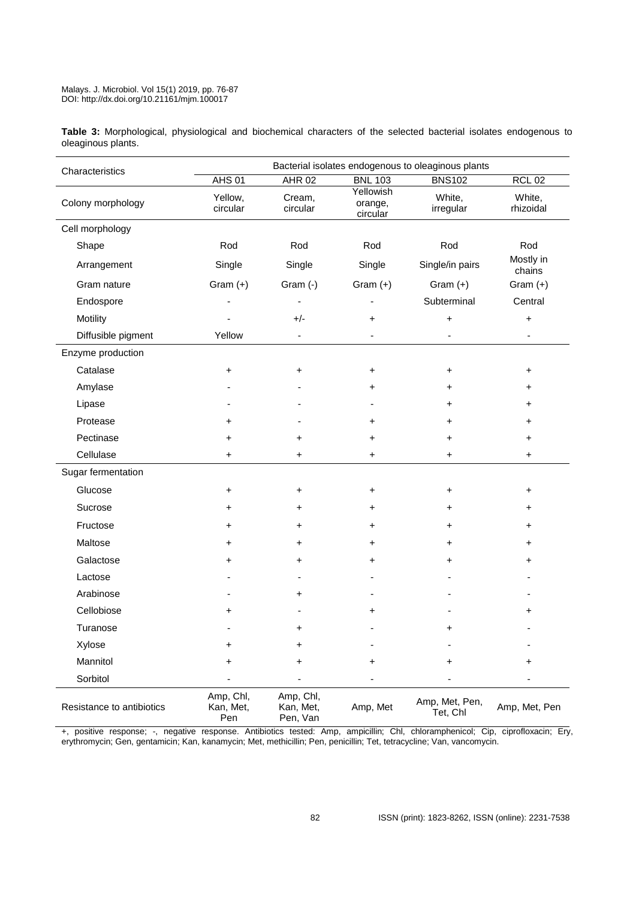**Table 3:** Morphological, physiological and biochemical characters of the selected bacterial isolates endogenous to oleaginous plants.

| Characteristics           | Bacterial isolates endogenous to oleaginous plants |                                    |                                  |                            |                              |  |  |
|---------------------------|----------------------------------------------------|------------------------------------|----------------------------------|----------------------------|------------------------------|--|--|
|                           | <b>AHS 01</b>                                      | <b>AHR 02</b>                      | <b>BNL 103</b>                   | <b>BNS102</b>              | <b>RCL 02</b>                |  |  |
| Colony morphology         | Yellow,<br>circular                                | Cream,<br>circular                 | Yellowish<br>orange,<br>circular | White,<br>irregular        | White,<br>rhizoidal          |  |  |
| Cell morphology           |                                                    |                                    |                                  |                            |                              |  |  |
| Shape                     | Rod                                                | Rod                                | Rod                              | Rod                        | Rod                          |  |  |
| Arrangement               | Single                                             | Single                             | Single                           | Single/in pairs            | Mostly in<br>chains          |  |  |
| Gram nature               | Gram $(+)$                                         | Gram (-)                           | Gram $(+)$                       | Gram $(+)$                 | Gram $(+)$                   |  |  |
| Endospore                 |                                                    |                                    |                                  | Subterminal                | Central                      |  |  |
| Motility                  |                                                    | $+/-$<br>+<br>+                    |                                  | +                          |                              |  |  |
| Diffusible pigment        | Yellow                                             | $\qquad \qquad \blacksquare$       | $\qquad \qquad \blacksquare$     | $\blacksquare$             | $\qquad \qquad \blacksquare$ |  |  |
| Enzyme production         |                                                    |                                    |                                  |                            |                              |  |  |
| Catalase                  | +                                                  | +                                  | +                                | +                          | +                            |  |  |
| Amylase                   |                                                    |                                    | +                                | +                          | +                            |  |  |
| Lipase                    |                                                    |                                    |                                  | +                          |                              |  |  |
| Protease                  | +                                                  |                                    | +                                | +                          | +                            |  |  |
| Pectinase                 | +                                                  | +                                  | +                                | +                          | +                            |  |  |
| Cellulase                 | +                                                  | +                                  | +<br>+                           |                            | +                            |  |  |
| Sugar fermentation        |                                                    |                                    |                                  |                            |                              |  |  |
| Glucose                   | +                                                  | +                                  | +                                | +                          | +                            |  |  |
| Sucrose                   | +                                                  | +                                  | +                                | +                          | +                            |  |  |
| Fructose                  | +                                                  | +                                  | +                                | +                          | +                            |  |  |
| Maltose                   | +                                                  | +                                  | +                                | +                          | +                            |  |  |
| Galactose                 | +                                                  | +                                  | +                                | +                          | +                            |  |  |
| Lactose                   |                                                    |                                    |                                  |                            |                              |  |  |
| Arabinose                 |                                                    | +                                  |                                  |                            |                              |  |  |
| Cellobiose                | +                                                  |                                    |                                  |                            |                              |  |  |
| Turanose                  |                                                    |                                    |                                  | +                          |                              |  |  |
| Xylose                    | +                                                  | +                                  |                                  |                            |                              |  |  |
| Mannitol                  | +                                                  | +                                  | +                                | +                          | +                            |  |  |
| Sorbitol                  |                                                    |                                    |                                  |                            |                              |  |  |
| Resistance to antibiotics | Amp, Chl,<br>Kan, Met,<br>Pen                      | Amp, Chl,<br>Kan, Met,<br>Pen, Van | Amp, Met                         | Amp, Met, Pen,<br>Tet, Chl | Amp, Met, Pen                |  |  |

+, positive response; -, negative response. Antibiotics tested: Amp, ampicillin; Chl, chloramphenicol; Cip, ciprofloxacin; Ery, erythromycin; Gen, gentamicin; Kan, kanamycin; Met, methicillin; Pen, penicillin; Tet, tetracycline; Van, vancomycin.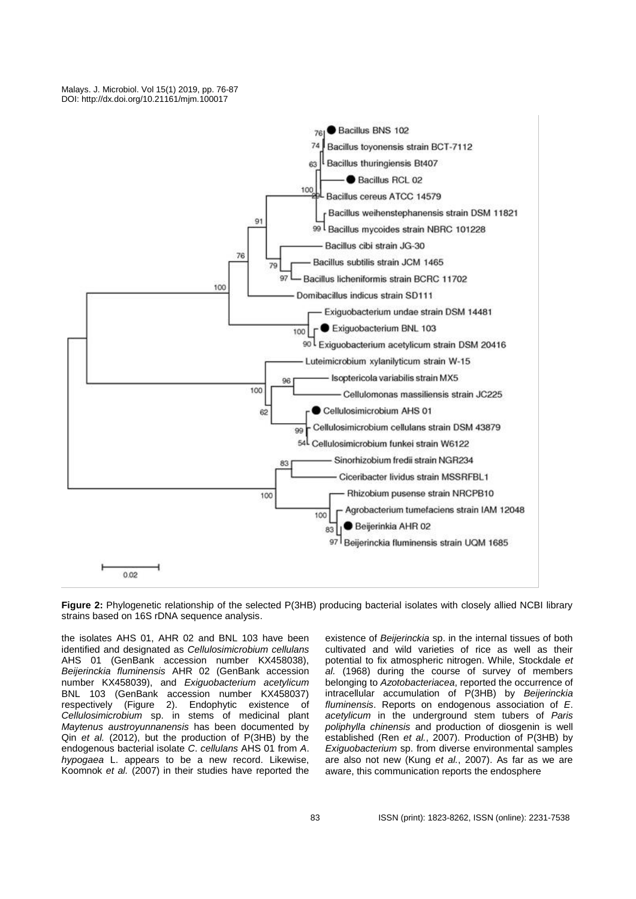

**Figure 2:** Phylogenetic relationship of the selected P(3HB) producing bacterial isolates with closely allied NCBI library strains based on 16S rDNA sequence analysis.

the isolates AHS 01, AHR 02 and BNL 103 have been identified and designated as *Cellulosimicrobium cellulans*  AHS 01 (GenBank accession number KX458038), *Beijerinckia fluminensis* AHR 02 (GenBank accession number KX458039), and *Exiguobacterium acetylicum*  BNL 103 (GenBank accession number KX458037) respectively (Figure 2). Endophytic existence of *Cellulosimicrobium* sp. in stems of medicinal plant *Maytenus austroyunnanensis* has been documented by Qin *et al.* (2012), but the production of P(3HB) by the endogenous bacterial isolate *C*. *cellulans* AHS 01 from *A*. *hypogaea* L. appears to be a new record. Likewise, Koomnok *et al.* (2007) in their studies have reported the

existence of *Beijerinckia* sp. in the internal tissues of both cultivated and wild varieties of rice as well as their potential to fix atmospheric nitrogen. While, Stockdale *et al.* (1968) during the course of survey of members belonging to *Azotobacteriacea*, reported the occurrence of intracellular accumulation of P(3HB) by *Beijerinckia fluminensis*. Reports on endogenous association of *E*. *acetylicum* in the underground stem tubers of *Paris poliphylla chinensis* and production of diosgenin is well established (Ren *et al.*, 2007). Production of P(3HB) by *Exiguobacterium* sp. from diverse environmental samples are also not new (Kung *et al.*, 2007). As far as we are aware, this communication reports the endosphere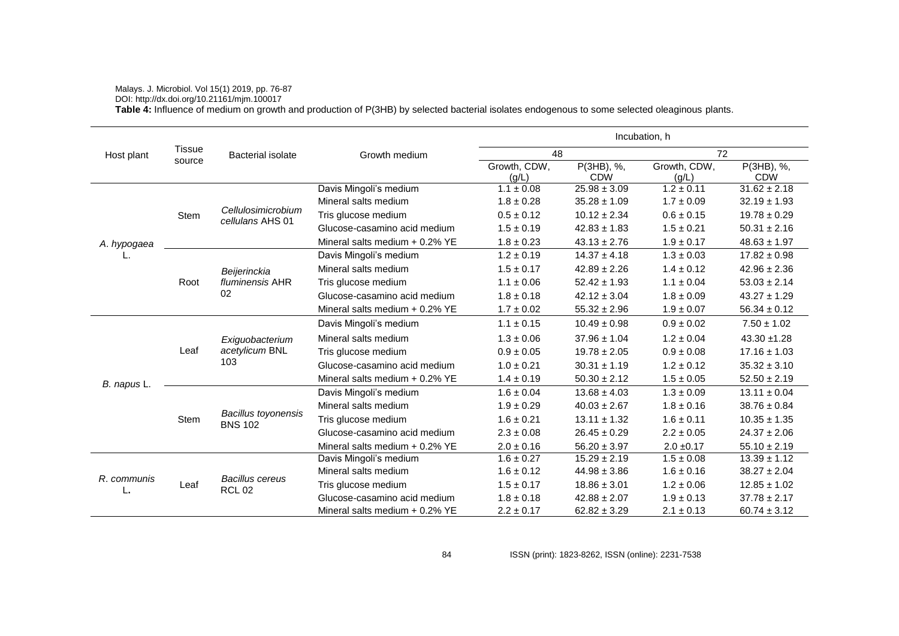# Malays. J. Microbiol. Vol 15(1) 2019, pp. 76-87

DOI: http://dx.doi.org/10.21161/mjm.100017

**Table 4:** Influence of medium on growth and production of P(3HB) by selected bacterial isolates endogenous to some selected oleaginous plants.

|                   |               |                                              |                                  | Incubation, h         |                          |                       |                          |  |
|-------------------|---------------|----------------------------------------------|----------------------------------|-----------------------|--------------------------|-----------------------|--------------------------|--|
| Host plant        | <b>Tissue</b> | <b>Bacterial isolate</b>                     | Growth medium                    | 48                    |                          | 72                    |                          |  |
|                   | source        |                                              |                                  | Growth, CDW,<br>(g/L) | P(3HB), %,<br><b>CDW</b> | Growth, CDW,<br>(g/L) | P(3HB), %,<br><b>CDW</b> |  |
|                   |               |                                              | Davis Mingoli's medium           | $1.1 \pm 0.08$        | $25.98 \pm 3.09$         | $1.2 \pm 0.11$        | $31.62 \pm 2.18$         |  |
| A. hypogaea       |               |                                              | Mineral salts medium             | $1.8 \pm 0.28$        | $35.28 \pm 1.09$         | $1.7 \pm 0.09$        | $32.19 \pm 1.93$         |  |
|                   | Stem          | Cellulosimicrobium<br>cellulans AHS 01       | Tris glucose medium              | $0.5 \pm 0.12$        | $10.12 \pm 2.34$         | $0.6 \pm 0.15$        | $19.78 \pm 0.29$         |  |
|                   |               |                                              | Glucose-casamino acid medium     | $1.5 \pm 0.19$        | $42.83 \pm 1.83$         | $1.5 \pm 0.21$        | $50.31 \pm 2.16$         |  |
|                   |               |                                              | Mineral salts medium $+$ 0.2% YE | $1.8 \pm 0.23$        | $43.13 \pm 2.76$         | $1.9 \pm 0.17$        | $48.63 \pm 1.97$         |  |
|                   |               |                                              | Davis Mingoli's medium           | $1.2 \pm 0.19$        | $14.37 \pm 4.18$         | $1.3 \pm 0.03$        | $17.82 \pm 0.98$         |  |
|                   |               | Beijerinckia                                 | Mineral salts medium             | $1.5 \pm 0.17$        | $42.89 \pm 2.26$         | $1.4 \pm 0.12$        | $42.96 \pm 2.36$         |  |
|                   | Root          | fluminensis AHR                              | Tris glucose medium              | $1.1 \pm 0.06$        | $52.42 \pm 1.93$         | $1.1 \pm 0.04$        | $53.03 \pm 2.14$         |  |
|                   |               | 02                                           | Glucose-casamino acid medium     | $1.8 \pm 0.18$        | $42.12 \pm 3.04$         | $1.8 \pm 0.09$        | $43.27 \pm 1.29$         |  |
|                   |               |                                              | Mineral salts medium $+$ 0.2% YE | $1.7\pm0.02$          | $55.32 \pm 2.96$         | $1.9\pm0.07$          | $56.34 \pm 0.12$         |  |
|                   |               | Exiguobacterium<br>acetylicum BNL<br>103     | Davis Mingoli's medium           | $1.1 \pm 0.15$        | $10.49 \pm 0.98$         | $0.9\pm0.02$          | $7.50 \pm 1.02$          |  |
|                   |               |                                              | Mineral salts medium             | $1.3 \pm 0.06$        | $37.96 \pm 1.04$         | $1.2 \pm 0.04$        | $43.30 + 1.28$           |  |
| B. napus L.       | Leaf          |                                              | Tris glucose medium              | $0.9 \pm 0.05$        | $19.78 \pm 2.05$         | $0.9 \pm 0.08$        | $17.16 \pm 1.03$         |  |
|                   |               |                                              | Glucose-casamino acid medium     | $1.0 \pm 0.21$        | $30.31 \pm 1.19$         | $1.2 \pm 0.12$        | $35.32 \pm 3.10$         |  |
|                   |               |                                              | Mineral salts medium $+$ 0.2% YE | $1.4 \pm 0.19$        | $50.30 \pm 2.12$         | $1.5 \pm 0.05$        | $52.50 \pm 2.19$         |  |
|                   |               | <b>Bacillus toyonensis</b><br><b>BNS 102</b> | Davis Mingoli's medium           | $1.6 \pm 0.04$        | $13.68 \pm 4.03$         | $1.3 \pm 0.09$        | $13.11 \pm 0.04$         |  |
|                   |               |                                              | Mineral salts medium             | $1.9 \pm 0.29$        | $40.03 \pm 2.67$         | $1.8 \pm 0.16$        | $38.76 \pm 0.84$         |  |
|                   | Stem          |                                              | Tris glucose medium              | $1.6 \pm 0.21$        | $13.11 \pm 1.32$         | $1.6 \pm 0.11$        | $10.35 \pm 1.35$         |  |
|                   |               |                                              | Glucose-casamino acid medium     | $2.3 \pm 0.08$        | $26.45 \pm 0.29$         | $2.2 \pm 0.05$        | $24.37 \pm 2.06$         |  |
|                   |               |                                              | Mineral salts medium + 0.2% YE   | $2.0 \pm 0.16$        | $56.20 \pm 3.97$         | $2.0 \pm 0.17$        | $55.10 \pm 2.19$         |  |
|                   |               | <b>Bacillus cereus</b><br><b>RCL 02</b>      | Davis Mingoli's medium           | $1.6 \pm 0.27$        | $15.29 \pm 2.19$         | $1.5 \pm 0.08$        | $13.39 \pm 1.12$         |  |
|                   |               |                                              | Mineral salts medium             | $1.6 \pm 0.12$        | $44.98 \pm 3.86$         | $1.6 \pm 0.16$        | $38.27 \pm 2.04$         |  |
| R. communis<br>ь. | Leaf          |                                              | Tris glucose medium              | $1.5 \pm 0.17$        | $18.86 \pm 3.01$         | $1.2 \pm 0.06$        | $12.85 \pm 1.02$         |  |
|                   |               |                                              | Glucose-casamino acid medium     | $1.8 \pm 0.18$        | $42.88 \pm 2.07$         | $1.9 \pm 0.13$        | $37.78 \pm 2.17$         |  |
|                   |               |                                              | Mineral salts medium $+$ 0.2% YE | $2.2 \pm 0.17$        | $62.82 \pm 3.29$         | $2.1 \pm 0.13$        | $60.74 \pm 3.12$         |  |

84 ISSN (print): 1823-8262, ISSN (online): 2231-7538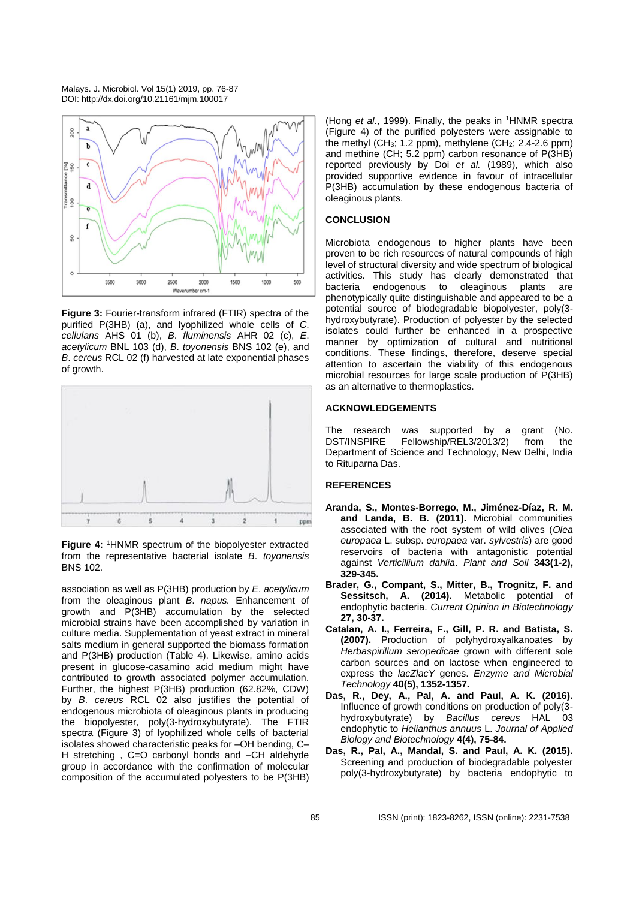

**Figure 3:** Fourier-transform infrared (FTIR) spectra of the purified P(3HB) (a), and lyophilized whole cells of *C*. *cellulans* AHS 01 (b), *B*. *fluminensis* AHR 02 (c), *E*. *acetylicum* BNL 103 (d), *B*. *toyonensis* BNS 102 (e), and *B*. *cereus* RCL 02 (f) harvested at late exponential phases of growth.



**Figure 4:** <sup>1</sup>HNMR spectrum of the biopolyester extracted from the representative bacterial isolate *B*. *toyonensis*  BNS 102.

association as well as P(3HB) production by *E*. *acetylicum* from the oleaginous plant *B*. *napus.* Enhancement of growth and P(3HB) accumulation by the selected microbial strains have been accomplished by variation in culture media. Supplementation of yeast extract in mineral salts medium in general supported the biomass formation and P(3HB) production (Table 4). Likewise, amino acids present in glucose-casamino acid medium might have contributed to growth associated polymer accumulation. Further, the highest P(3HB) production (62.82%, CDW) by *B*. *cereus* RCL 02 also justifies the potential of endogenous microbiota of oleaginous plants in producing the biopolyester, poly(3-hydroxybutyrate). The FTIR spectra (Figure 3) of lyophilized whole cells of bacterial isolates showed characteristic peaks for –OH bending, C– H stretching, C=O carbonyl bonds and -CH aldehyde group in accordance with the confirmation of molecular composition of the accumulated polyesters to be P(3HB)

(Hong *et al.*, 1999). Finally, the peaks in <sup>1</sup>HNMR spectra (Figure 4) of the purified polyesters were assignable to the methyl (CH<sub>3</sub>; 1.2 ppm), methylene (CH<sub>2</sub>; 2.4-2.6 ppm) and methine (CH; 5.2 ppm) carbon resonance of P(3HB) reported previously by Doi *et al.* (1989), which also provided supportive evidence in favour of intracellular P(3HB) accumulation by these endogenous bacteria of oleaginous plants.

# **CONCLUSION**

Microbiota endogenous to higher plants have been proven to be rich resources of natural compounds of high level of structural diversity and wide spectrum of biological activities. This study has clearly demonstrated that bacteria endogenous to oleaginous plants are phenotypically quite distinguishable and appeared to be a potential source of biodegradable biopolyester, poly(3 hydroxybutyrate). Production of polyester by the selected isolates could further be enhanced in a prospective manner by optimization of cultural and nutritional conditions. These findings, therefore, deserve special attention to ascertain the viability of this endogenous microbial resources for large scale production of P(3HB) as an alternative to thermoplastics.

#### **ACKNOWLEDGEMENTS**

The research was supported by a grant (No. DST/INSPIRE Fellowship/REL3/2013/2) from the Department of Science and Technology, New Delhi, India to Rituparna Das.

# **REFERENCES**

- **Aranda, S., Montes-Borrego, M., Jiménez-Díaz, R. M. and Landa, B. B. (2011).** Microbial communities associated with the root system of wild olives (*Olea europaea* L. subsp. *europaea* var. *sylvestris*) are good reservoirs of bacteria with antagonistic potential against *Verticillium dahlia*. *Plant and Soil* **343(1-2), 329-345.**
- **Brader, G., Compant, S., Mitter, B., Trognitz, F. and Sessitsch, A. (2014).** Metabolic potential of endophytic bacteria. *Current Opinion in Biotechnology* **27, 30-37.**
- **Catalan, A. I., Ferreira, F., Gill, P. R. and Batista, S. (2007).** Production of polyhydroxyalkanoates by *Herbaspirillum seropedicae* grown with different sole carbon sources and on lactose when engineered to express the *lacZlacY* genes. *Enzyme and Microbial Technology* **40(5), 1352-1357.**
- **Das, R., Dey, A., Pal, A. and Paul, A. K. (2016).** Influence of growth conditions on production of poly(3 hydroxybutyrate) by *Bacillus cereus* HAL 03 endophytic to *Helianthus annuus* L. *Journal of Applied Biology and Biotechnology* **4(4), 75-84.**
- **Das, R., Pal, A., Mandal, S. and Paul, A. K. (2015).** Screening and production of biodegradable polyester poly(3-hydroxybutyrate) by bacteria endophytic to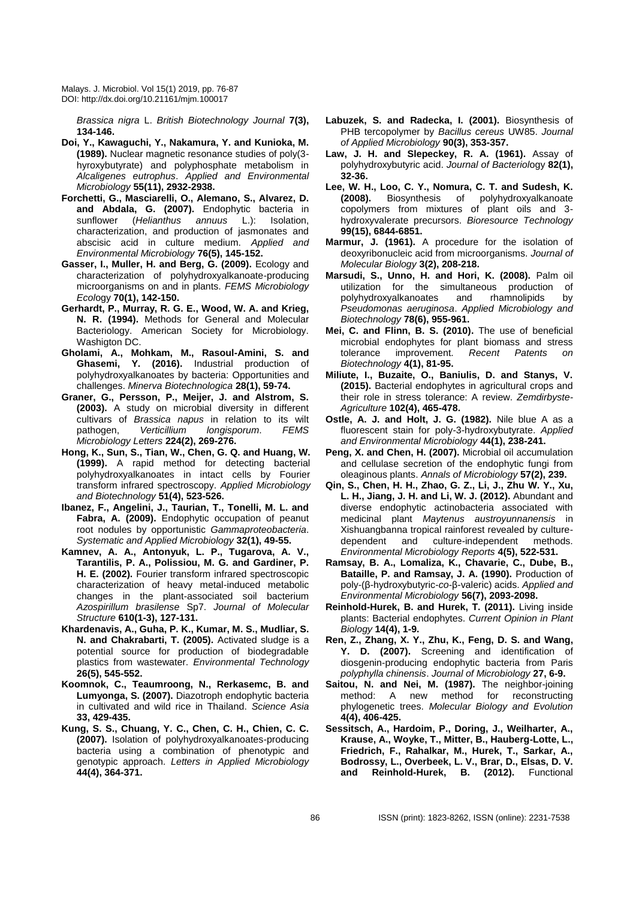*Brassica nigra* L. *British Biotechnology Journal* **7(3), 134-146.**

- **Doi, Y., Kawaguchi, Y., Nakamura, Y. and Kunioka, M. (1989).** Nuclear magnetic resonance studies of poly(3 hyroxybutyrate) and polyphosphate metabolism in *Alcaligenes eutrophus*. *Applied and Environmental Microbiology* **55(11), 2932-2938.**
- **Forchetti, G., Masciarelli, O., Alemano, S., Alvarez, D. and Abdala, G. (2007).** Endophytic bacteria in sunflower (*Helianthus annuus* L.): Isolation, characterization, and production of jasmonates and abscisic acid in culture medium. *Applied and Environmental Microbiology* **76(5), 145-152.**
- **Gasser, I., Muller, H. and Berg, G. (2009).** Ecology and characterization of polyhydroxyalkanoate-producing microorganisms on and in plants. *FEMS Microbiology Ecol*ogy **70(1), 142-150.**
- **Gerhardt, P., Murray, R. G. E., Wood, W. A. and Krieg, N. R. (1994).** Methods for General and Molecular Bacteriology. American Society for Microbiology. Washigton DC.
- **Gholami, A., Mohkam, M., Rasoul-Amini, S. and Ghasemi, Y. (2016).** Industrial production of polyhydroxyalkanoates by bacteria: Opportunities and challenges. *Minerva Biotechnologica* **28(1), 59-74.**
- **Graner, G., Persson, P., Meijer, J. and Alstrom, S. (2003).** A study on microbial diversity in different cultivars of *Brassica napus* in relation to its wilt pathogen, *Verticillium longisporum*. *FEMS Microbiology Letters* **224(2), 269-276.**
- **Hong, K., Sun, S., Tian, W., Chen, G. Q. and Huang, W. (1999).** A rapid method for detecting bacterial polyhydroxyalkanoates in intact cells by Fourier transform infrared spectroscopy. *Applied Microbiology and Biotechnology* **51(4), 523-526.**
- **Ibanez, F., Angelini, J., Taurian, T., Tonelli, M. L. and Fabra, A. (2009).** Endophytic occupation of peanut root nodules by opportunistic *Gammaproteobacteria*. *Systematic and Applied Microbiology* **32(1), 49-55.**
- **Kamnev, A. A., Antonyuk, L. P., Tugarova, A. V., Tarantilis, P. A., Polissiou, M. G. and Gardiner, P. H. E. (2002).** Fourier transform infrared spectroscopic characterization of heavy metal-induced metabolic changes in the plant-associated soil bacterium *Azospirillum brasilense* Sp7. *Journal of Molecular Structure* **610(1-3), 127-131.**
- **Khardenavis, A., Guha, P. K., Kumar, M. S., Mudliar, S. N. and Chakrabarti, T. (2005).** Activated sludge is a potential source for production of biodegradable plastics from wastewater. *Environmental Technology* **26(5), 545-552.**
- **Koomnok, C., Teaumroong, N., Rerkasemc, B. and Lumyonga, S. (2007).** Diazotroph endophytic bacteria in cultivated and wild rice in Thailand. *Science Asia*  **33, 429-435.**
- **Kung, S. S., Chuang, Y. C., Chen, C. H., Chien, C. C. (2007).** Isolation of polyhydroxyalkanoates-producing bacteria using a combination of phenotypic and genotypic approach. *Letters in Applied Microbiology* **44(4), 364-371.**
- **Labuzek, S. and Radecka, I. (2001).** Biosynthesis of PHB tercopolymer by *Bacillus cereus* UW85. *Journal of Applied Microbiology* **90(3), 353-357.**
- **Law, J. H. and Slepeckey, R. A. (1961).** Assay of polyhydroxybutyric acid. *Journal of Bacteriol*ogy **82(1), 32-36.**
- **Lee, W. H., Loo, C. Y., Nomura, C. T. and Sudesh, K. (2008).** Biosynthesis of polyhydroxyalkanoate copolymers from mixtures of plant oils and 3 hydroxyvalerate precursors. *Bioresource Technology* **99(15), 6844-6851.**
- **Marmur, J. (1961).** A procedure for the isolation of deoxyribonucleic acid from microorganisms. *Journal of Molecular Biology* **3(2), 208-218.**
- **Marsudi, S., Unno, H. and Hori, K. (2008).** Palm oil utilization for the simultaneous production of<br>polyhydroxyalkanoates and rhamnolipids by polyhydroxyalkanoates and rhamnolipids by *Pseudomonas aeruginosa*. *Applied Microbiology and Biotechnology* **78(6), 955-961.**
- **Mei, C. and Flinn, B. S. (2010).** The use of beneficial microbial endophytes for plant biomass and stress tolerance improvement. Recent Patents *Biotechnology* **4(1), 81-95.**
- **Miliute, I., Buzaite, O., Baniulis, D. and Stanys, V. (2015).** Bacterial endophytes in agricultural crops and their role in stress tolerance: A review. *Zemdirbyste-Agriculture* **102(4), 465-478.**
- **Ostle, A. J. and Holt, J. G. (1982).** Nile blue A as a fluorescent stain for poly-3-hydroxybutyrate. *Applied and Environmental Microbiology* **44(1), 238-241.**
- **Peng, X. and Chen, H. (2007).** Microbial oil accumulation and cellulase secretion of the endophytic fungi from oleaginous plants. *Annals of Microbiology* **57(2), 239.**
- **Qin, S., Chen, H. H., Zhao, G. Z., Li, J., Zhu W. Y., Xu, L. H., Jiang, J. H. and Li, W. J. (2012).** Abundant and diverse endophytic actinobacteria associated with medicinal plant *Maytenus austroyunnanensis* in Xishuangbanna tropical rainforest revealed by culturedependent and culture-independent methods. *Environmental Microbiology Reports* **4(5), 522-531.**
- **Ramsay, B. A., Lomaliza, K., Chavarie, C., Dube, B., Bataille, P. and Ramsay, J. A. (1990).** Production of poly-(β-hydroxybutyric-*co*-β-valeric) acids. *Applied and Environmental Microbiology* **56(7), 2093-2098.**
- **Reinhold-Hurek, B. and Hurek, T. (2011).** Living inside plants: Bacterial endophytes. *Current Opinion in Plant Biology* **14(4), 1-9.**
- **Ren, Z., Zhang, X. Y., Zhu, K., Feng, D. S. and Wang, Y. D. (2007).** Screening and identification of diosgenin-producing endophytic bacteria from Paris *polyphylla chinensis*. *Journal of Microbiology* **27, 6-9.**
- **Saitou, N. and Nei, M. (1987).** The neighbor-joining method: A new method for reconstructing phylogenetic trees. *Molecular Biology and Evolution* **4(4), 406-425.**
- **Sessitsch, A., Hardoim, P., Doring, J., Weilharter, A., Krause, A., Woyke, T., Mitter, B., Hauberg-Lotte, L., Friedrich, F., Rahalkar, M., Hurek, T., Sarkar, A., Bodrossy, L., Overbeek, L. V., Brar, D., Elsas, D. V. and Reinhold-Hurek, B. (2012).** Functional